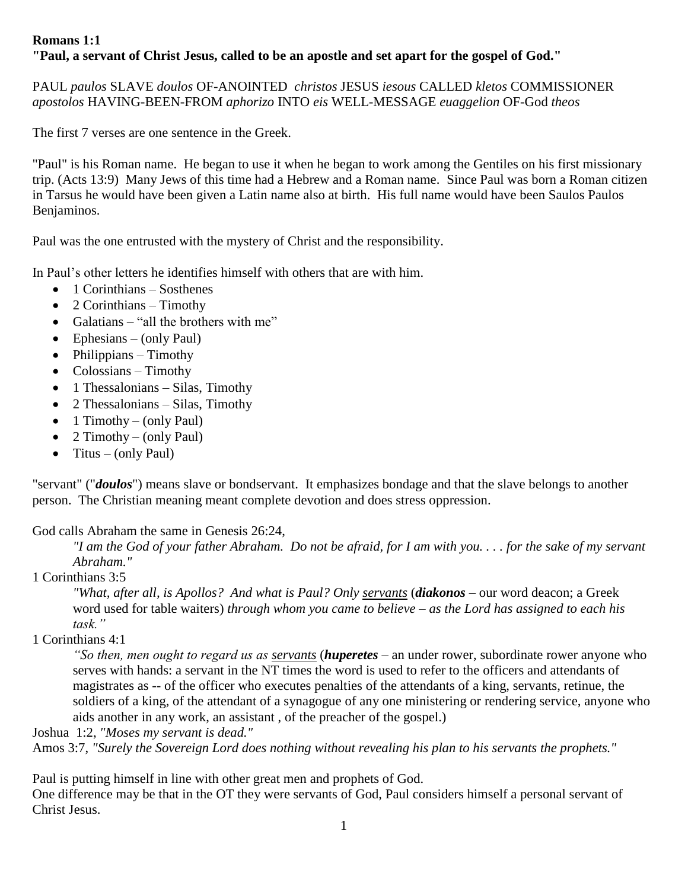# **Romans 1:1 "Paul, a servant of Christ Jesus, called to be an apostle and set apart for the gospel of God."**

PAUL *paulos* SLAVE *doulos* OF-ANOINTED *christos* JESUS *iesous* CALLED *kletos* COMMISSIONER *apostolos* HAVING-BEEN-FROM *aphorizo* INTO *eis* WELL-MESSAGE *euaggelion* OF-God *theos*

The first 7 verses are one sentence in the Greek.

"Paul" is his Roman name. He began to use it when he began to work among the Gentiles on his first missionary trip. (Acts 13:9) Many Jews of this time had a Hebrew and a Roman name. Since Paul was born a Roman citizen in Tarsus he would have been given a Latin name also at birth. His full name would have been Saulos Paulos Benjaminos.

Paul was the one entrusted with the mystery of Christ and the responsibility.

In Paul's other letters he identifies himself with others that are with him.

- $\bullet$  1 Corinthians Sosthenes
- $\bullet$  2 Corinthians Timothy
- Galatians "all the brothers with me"
- $\bullet$  Ephesians (only Paul)
- $\bullet$  Philippians Timothy
- $\bullet$  Colossians Timothy
- 1 Thessalonians Silas, Timothy
- $\bullet$  2 Thessalonians Silas, Timothy
- $\bullet$  1 Timothy (only Paul)
- 2 Timothy (only Paul)
- Titus (only Paul)

"servant" ("*doulos*") means slave or bondservant. It emphasizes bondage and that the slave belongs to another person. The Christian meaning meant complete devotion and does stress oppression.

## God calls Abraham the same in Genesis 26:24,

*"I am the God of your father Abraham. Do not be afraid, for I am with you. . . . for the sake of my servant Abraham."*

1 Corinthians 3:5

*"What, after all, is Apollos? And what is Paul? Only servants* (*diakonos* – our word deacon; a Greek word used for table waiters) *through whom you came to believe – as the Lord has assigned to each his task."*

## 1 Corinthians 4:1

*"So then, men ought to regard us as servants* (*huperetes* – an under rower, subordinate rower anyone who serves with hands: a servant in the NT times the word is used to refer to the officers and attendants of magistrates as -- of the officer who executes penalties of the attendants of a king, servants, retinue, the soldiers of a king, of the attendant of a synagogue of any one ministering or rendering service, anyone who aids another in any work, an assistant , of the preacher of the gospel.)

Joshua 1:2, *"Moses my servant is dead."*

Amos 3:7, *"Surely the Sovereign Lord does nothing without revealing his plan to his servants the prophets."*

Paul is putting himself in line with other great men and prophets of God.

One difference may be that in the OT they were servants of God, Paul considers himself a personal servant of Christ Jesus.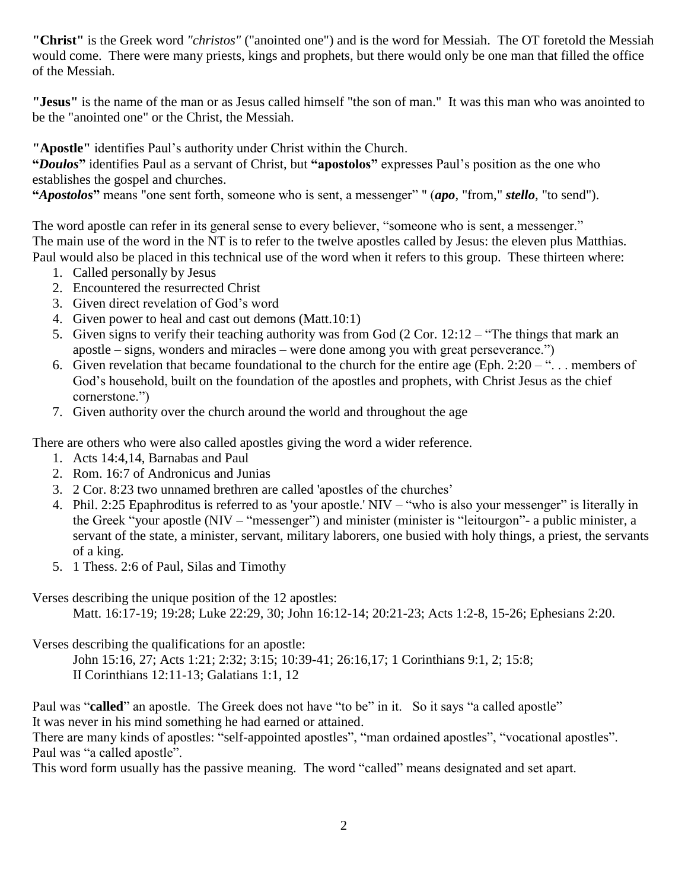**"Christ"** is the Greek word *"christos"* ("anointed one") and is the word for Messiah. The OT foretold the Messiah would come. There were many priests, kings and prophets, but there would only be one man that filled the office of the Messiah.

**"Jesus"** is the name of the man or as Jesus called himself "the son of man." It was this man who was anointed to be the "anointed one" or the Christ, the Messiah.

**"Apostle"** identifies Paul's authority under Christ within the Church.

**"***Doulos***"** identifies Paul as a servant of Christ, but **"apostolos"** expresses Paul's position as the one who establishes the gospel and churches.

**"***Apostolos***"** means "one sent forth, someone who is sent, a messenger" " (*apo*, "from," *stello*, "to send").

The word apostle can refer in its general sense to every believer, "someone who is sent, a messenger." The main use of the word in the NT is to refer to the twelve apostles called by Jesus: the eleven plus Matthias. Paul would also be placed in this technical use of the word when it refers to this group. These thirteen where:

- 1. Called personally by Jesus
- 2. Encountered the resurrected Christ
- 3. Given direct revelation of God's word
- 4. Given power to heal and cast out demons (Matt.10:1)
- 5. Given signs to verify their teaching authority was from God (2 Cor. 12:12 "The things that mark an apostle – signs, wonders and miracles – were done among you with great perseverance.")
- 6. Given revelation that became foundational to the church for the entire age (Eph.  $2:20 -$ "... members of God's household, built on the foundation of the apostles and prophets, with Christ Jesus as the chief cornerstone.")
- 7. Given authority over the church around the world and throughout the age

There are others who were also called apostles giving the word a wider reference.

- 1. Acts 14:4,14, Barnabas and Paul
- 2. Rom. 16:7 of Andronicus and Junias
- 3. 2 Cor. 8:23 two unnamed brethren are called 'apostles of the churches'
- 4. Phil. 2:25 Epaphroditus is referred to as 'your apostle.' NIV "who is also your messenger" is literally in the Greek "your apostle (NIV – "messenger") and minister (minister is "leitourgon"- a public minister, a servant of the state, a minister, servant, military laborers, one busied with holy things, a priest, the servants of a king.
- 5. 1 Thess. 2:6 of Paul, Silas and Timothy

Verses describing the unique position of the 12 apostles:

Matt. 16:17-19; 19:28; Luke 22:29, 30; John 16:12-14; 20:21-23; Acts 1:2-8, 15-26; Ephesians 2:20.

Verses describing the qualifications for an apostle:

John 15:16, 27; Acts 1:21; 2:32; 3:15; 10:39-41; 26:16,17; 1 Corinthians 9:1, 2; 15:8; II Corinthians 12:11-13; Galatians 1:1, 12

Paul was "called" an apostle. The Greek does not have "to be" in it. So it says "a called apostle" It was never in his mind something he had earned or attained.

There are many kinds of apostles: "self-appointed apostles", "man ordained apostles", "vocational apostles". Paul was "a called apostle".

This word form usually has the passive meaning. The word "called" means designated and set apart.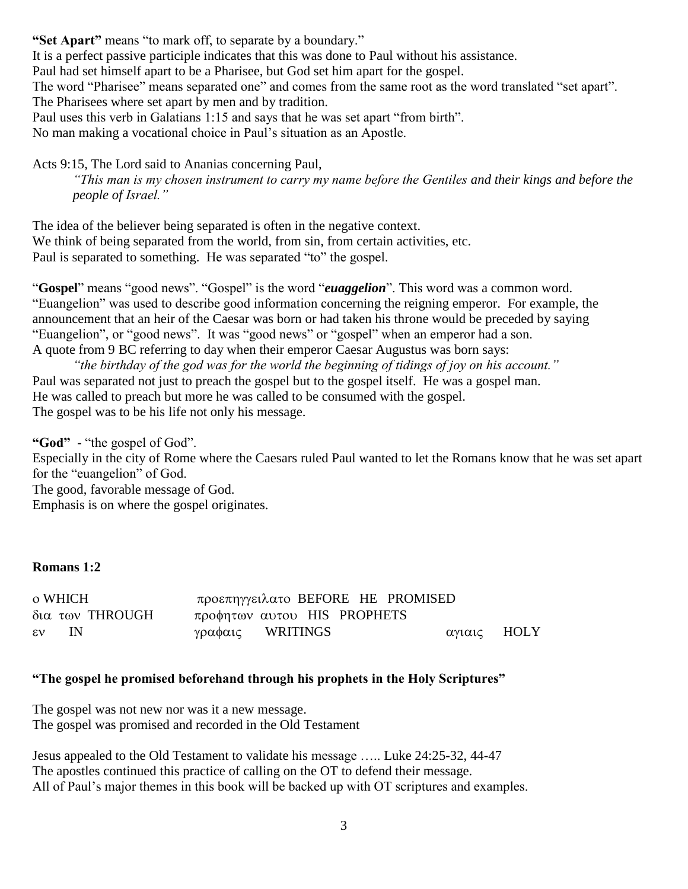**"Set Apart"** means "to mark off, to separate by a boundary." It is a perfect passive participle indicates that this was done to Paul without his assistance. Paul had set himself apart to be a Pharisee, but God set him apart for the gospel. The word "Pharisee" means separated one" and comes from the same root as the word translated "set apart". The Pharisees where set apart by men and by tradition. Paul uses this verb in Galatians 1:15 and says that he was set apart "from birth". No man making a vocational choice in Paul's situation as an Apostle.

Acts 9:15, The Lord said to Ananias concerning Paul,

*"This man is my chosen instrument to carry my name before the Gentiles and their kings and before the people of Israel."*

The idea of the believer being separated is often in the negative context. We think of being separated from the world, from sin, from certain activities, etc. Paul is separated to something. He was separated "to" the gospel.

"**Gospel**" means "good news". "Gospel" is the word "*euaggelion*". This word was a common word. "Euangelion" was used to describe good information concerning the reigning emperor. For example, the announcement that an heir of the Caesar was born or had taken his throne would be preceded by saying "Euangelion", or "good news". It was "good news" or "gospel" when an emperor had a son. A quote from 9 BC referring to day when their emperor Caesar Augustus was born says:

*"the birthday of the god was for the world the beginning of tidings of joy on his account."*  Paul was separated not just to preach the gospel but to the gospel itself. He was a gospel man. He was called to preach but more he was called to be consumed with the gospel. The gospel was to be his life not only his message.

**"God"** - "the gospel of God". Especially in the city of Rome where the Caesars ruled Paul wanted to let the Romans know that he was set apart for the "euangelion" of God. The good, favorable message of God. Emphasis is on where the gospel originates.

#### **Romans 1:2**

| o WHICH         | προεπηγγειλατο BEFORE HE PROMISED |             |
|-----------------|-----------------------------------|-------------|
| δια των THROUGH | προφητων αυτου HIS PROPHETS       |             |
| $\epsilon v$ IN | γραφαις WRITINGS                  | αγιαις ΗΟLΥ |

# **"The gospel he promised beforehand through his prophets in the Holy Scriptures"**

The gospel was not new nor was it a new message. The gospel was promised and recorded in the Old Testament

Jesus appealed to the Old Testament to validate his message ….. Luke 24:25-32, 44-47 The apostles continued this practice of calling on the OT to defend their message. All of Paul's major themes in this book will be backed up with OT scriptures and examples.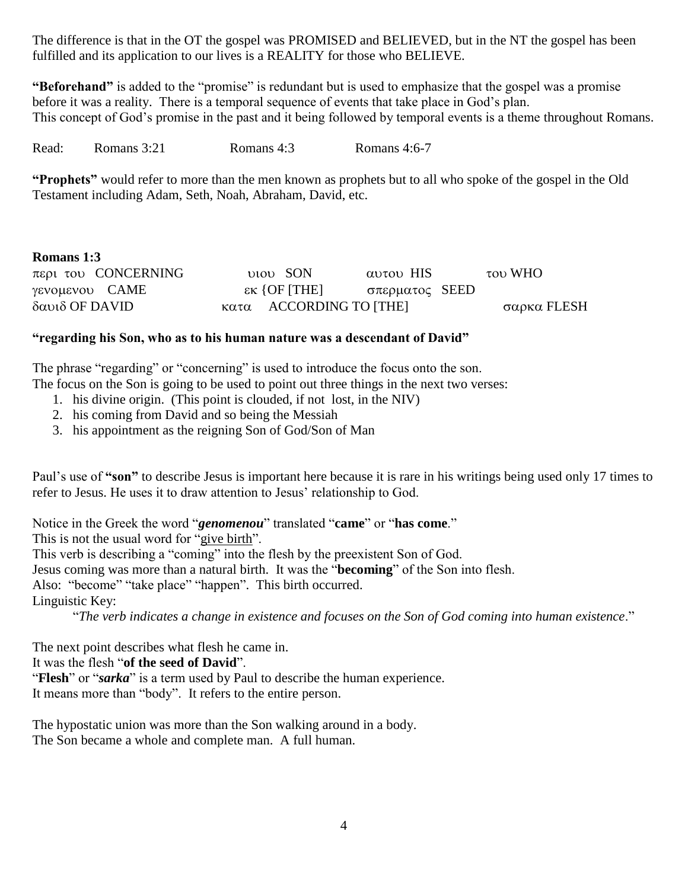The difference is that in the OT the gospel was PROMISED and BELIEVED, but in the NT the gospel has been fulfilled and its application to our lives is a REALITY for those who BELIEVE.

**"Beforehand"** is added to the "promise" is redundant but is used to emphasize that the gospel was a promise before it was a reality. There is a temporal sequence of events that take place in God's plan. This concept of God's promise in the past and it being followed by temporal events is a theme throughout Romans.

Read: Romans 3:21 Romans 4:3 Romans 4:6-7

**"Prophets"** would refer to more than the men known as prophets but to all who spoke of the gospel in the Old Testament including Adam, Seth, Noah, Abraham, David, etc.

| <b>Romans 1:3</b>        |                                                |                |             |
|--------------------------|------------------------------------------------|----------------|-------------|
| $\pi$ ερι του CONCERNING | <b>DIOD</b> SON                                | αυτου HIS      | του WHO     |
| γενομενου CAME           | $\epsilon$ k {OF [THE]                         | σπερματος SEED |             |
| δαυιδ OF DAVID           | $\kappa \alpha \tau \alpha$ ACCORDING TO [THE] |                | σαρκα FLESH |

### **"regarding his Son, who as to his human nature was a descendant of David"**

The phrase "regarding" or "concerning" is used to introduce the focus onto the son. The focus on the Son is going to be used to point out three things in the next two verses:

- 1. his divine origin. (This point is clouded, if not lost, in the NIV)
- 2. his coming from David and so being the Messiah
- 3. his appointment as the reigning Son of God/Son of Man

Paul's use of **"son"** to describe Jesus is important here because it is rare in his writings being used only 17 times to refer to Jesus. He uses it to draw attention to Jesus' relationship to God.

Notice in the Greek the word "*genomenou*" translated "**came**" or "**has come**." This is not the usual word for "give birth". This verb is describing a "coming" into the flesh by the preexistent Son of God. Jesus coming was more than a natural birth. It was the "**becoming**" of the Son into flesh. Also: "become" "take place" "happen". This birth occurred. Linguistic Key: "*The verb indicates a change in existence and focuses on the Son of God coming into human existence*."

The next point describes what flesh he came in.

It was the flesh "**of the seed of David**".

"**Flesh**" or "*sarka*" is a term used by Paul to describe the human experience. It means more than "body". It refers to the entire person.

The hypostatic union was more than the Son walking around in a body. The Son became a whole and complete man. A full human.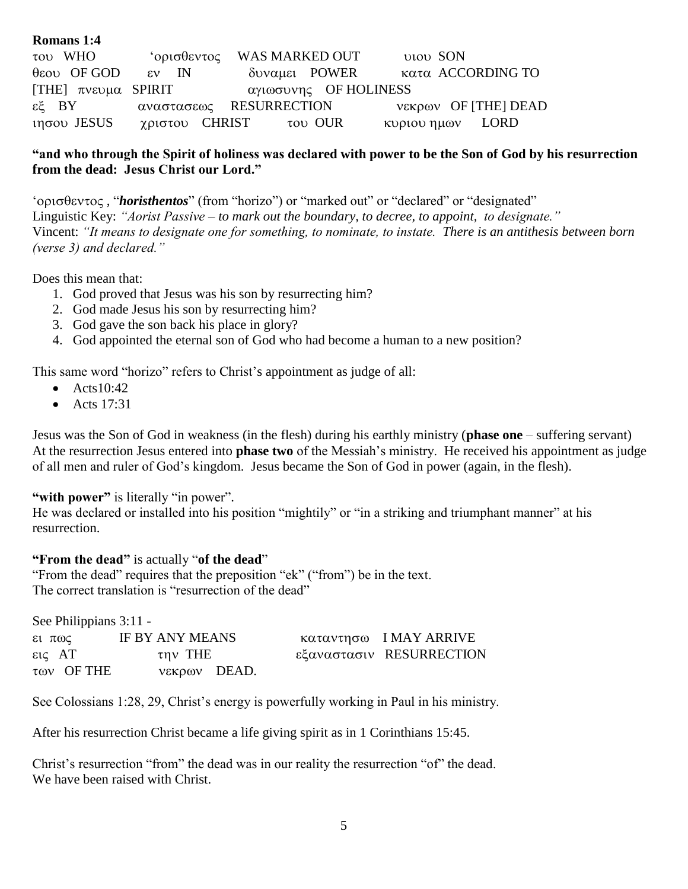| Romans 1:4               |                 |                               |                 |                           |
|--------------------------|-----------------|-------------------------------|-----------------|---------------------------|
| του WHO                  |                 | ' ορισθεντος WAS MARKED OUT   | <b>DIOD SON</b> |                           |
| $\theta$ εου OF GOD      | $\epsilon v$ IN | δυναμει POWER                 |                 | κατα ACCORDING TO         |
| [THE] $\pi$ vευμα SPIRIT |                 | αγιωσυνης OF HOLINESS         |                 |                           |
|                          |                 | εξ BY αναστασεως RESURRECTION |                 | νεκρων OF [THE] DEAD      |
| $ιησου$ JESUS            |                 | χριστου CHRIST του OUR        |                 | $\kappa$ EQ $\mu$ av LORD |

## **"and who through the Spirit of holiness was declared with power to be the Son of God by his resurrection from the dead: Jesus Christ our Lord."**

' oρισθεντος, "*horisthentos*" (from "horizo") or "marked out" or "declared" or "designated" Linguistic Key: *"Aorist Passive – to mark out the boundary, to decree, to appoint, to designate."* Vincent: *"It means to designate one for something, to nominate, to instate. There is an antithesis between born (verse 3) and declared."*

Does this mean that:

- 1. God proved that Jesus was his son by resurrecting him?
- 2. God made Jesus his son by resurrecting him?
- 3. God gave the son back his place in glory?
- 4. God appointed the eternal son of God who had become a human to a new position?

This same word "horizo" refers to Christ's appointment as judge of all:

- $\bullet$  Acts10:42
- $\bullet$  Acts 17:31

Jesus was the Son of God in weakness (in the flesh) during his earthly ministry (**phase one** – suffering servant) At the resurrection Jesus entered into **phase two** of the Messiah's ministry. He received his appointment as judge of all men and ruler of God's kingdom. Jesus became the Son of God in power (again, in the flesh).

## "with power" is literally "in power".

He was declared or installed into his position "mightily" or "in a striking and triumphant manner" at his resurrection.

## **"From the dead"** is actually "**of the dead**"

"From the dead" requires that the preposition "ek" ("from") be in the text. The correct translation is "resurrection of the dead"

See Philippians 3:11 -

| $ε$ ι πως        |                            | IF BY ANY MEANS |  | καταντησω IMAY ARRIVE    |
|------------------|----------------------------|-----------------|--|--------------------------|
| $\epsilon$ ις AT |                            | την THE         |  | εξαναστασιν RESURRECTION |
|                  | $\tau$ <sup>a</sup> OF THE | νεκρων DEAD.    |  |                          |

See Colossians 1:28, 29, Christ's energy is powerfully working in Paul in his ministry.

After his resurrection Christ became a life giving spirit as in 1 Corinthians 15:45.

Christ's resurrection "from" the dead was in our reality the resurrection "of" the dead. We have been raised with Christ.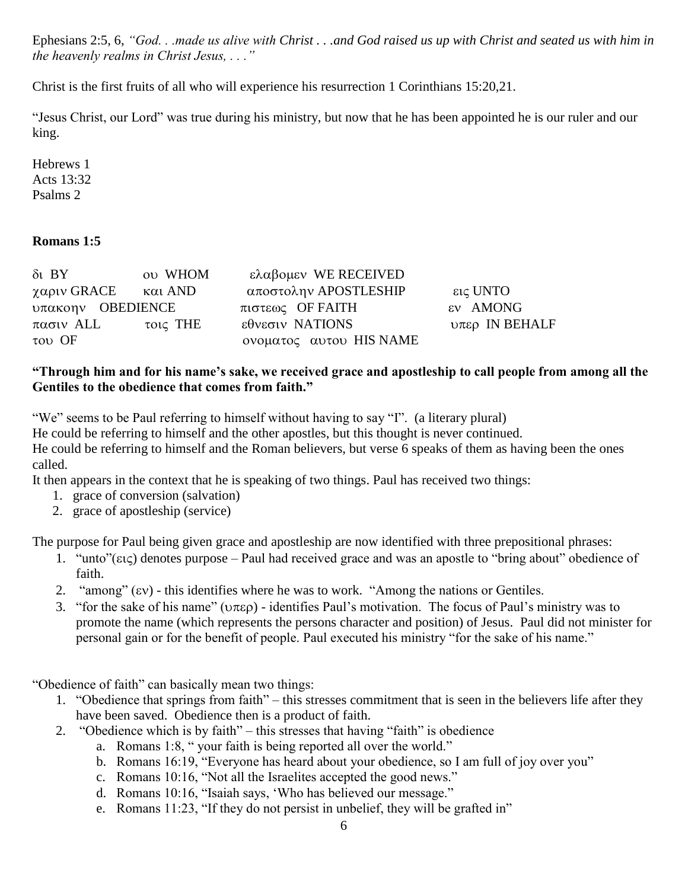Ephesians 2:5, 6, *"God. . .made us alive with Christ . . .and God raised us up with Christ and seated us with him in the heavenly realms in Christ Jesus, . . ."*

Christ is the first fruits of all who will experience his resurrection 1 Corinthians 15:20,21.

"Jesus Christ, our Lord" was true during his ministry, but now that he has been appointed he is our ruler and our king.

Hebrews 1 Acts 13:32 Psalms 2

# **Romans 1:5**

| $\delta t$ BY                              | ov WHOM  | ελαβομεν WE RECEIVED    |                  |
|--------------------------------------------|----------|-------------------------|------------------|
| χαριν GRACE                                | και AND  | αποστολην APOSTLESHIP   | εις UNTO         |
| $\nu\pi\alpha\kappa\text{on}\nu$ OBEDIENCE |          | πιστεως OF FAITH        | εν AMONG         |
| πασιν ALL                                  | τοις THE | εθνεσιν NATIONS         | $υπερ$ IN BEHALF |
| $\tau$ <sup>O</sup> V OF                   |          | ονοματος αυτου HIS NAME |                  |

### **"Through him and for his name's sake, we received grace and apostleship to call people from among all the Gentiles to the obedience that comes from faith."**

"We" seems to be Paul referring to himself without having to say "I". (a literary plural) He could be referring to himself and the other apostles, but this thought is never continued. He could be referring to himself and the Roman believers, but verse 6 speaks of them as having been the ones called.

It then appears in the context that he is speaking of two things. Paul has received two things:

- 1. grace of conversion (salvation)
- 2. grace of apostleship (service)

The purpose for Paul being given grace and apostleship are now identified with three prepositional phrases:

- 1. "unto"( $\epsilon \iota \varsigma$ ) denotes purpose Paul had received grace and was an apostle to "bring about" obedience of faith.
- 2. "among"  $(iv)$  this identifies where he was to work. "Among the nations or Gentiles.
- 3. "for the sake of his name" ( $\nu \pi \epsilon$ ) identifies Paul's motivation. The focus of Paul's ministry was to promote the name (which represents the persons character and position) of Jesus. Paul did not minister for personal gain or for the benefit of people. Paul executed his ministry "for the sake of his name."

"Obedience of faith" can basically mean two things:

- 1. "Obedience that springs from faith" this stresses commitment that is seen in the believers life after they have been saved. Obedience then is a product of faith.
- 2. "Obedience which is by faith" this stresses that having "faith" is obedience
	- a. Romans 1:8, " your faith is being reported all over the world."
	- b. Romans 16:19, "Everyone has heard about your obedience, so I am full of joy over you"
	- c. Romans 10:16, "Not all the Israelites accepted the good news."
	- d. Romans 10:16, "Isaiah says, 'Who has believed our message."
	- e. Romans 11:23, "If they do not persist in unbelief, they will be grafted in"